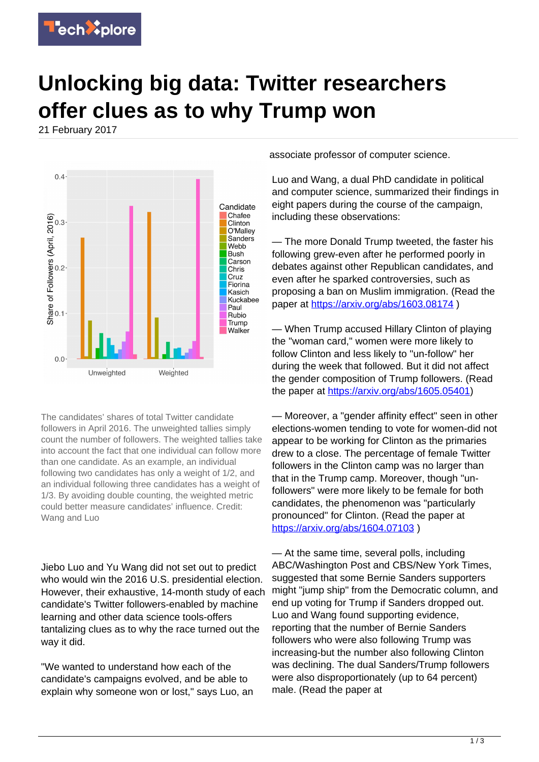

## **Unlocking big data: Twitter researchers offer clues as to why Trump won**

21 February 2017



The candidates' shares of total Twitter candidate followers in April 2016. The unweighted tallies simply count the number of followers. The weighted tallies take into account the fact that one individual can follow more than one candidate. As an example, an individual following two candidates has only a weight of 1/2, and an individual following three candidates has a weight of 1/3. By avoiding double counting, the weighted metric could better measure candidates' influence. Credit: Wang and Luo

Jiebo Luo and Yu Wang did not set out to predict who would win the 2016 U.S. presidential election. However, their exhaustive, 14-month study of each candidate's Twitter followers-enabled by machine learning and other data science tools-offers tantalizing clues as to why the race turned out the way it did.

"We wanted to understand how each of the candidate's campaigns evolved, and be able to explain why someone won or lost," says Luo, an associate professor of computer science.

Luo and Wang, a dual PhD candidate in political and computer science, summarized their findings in eight papers during the course of the campaign, including these observations:

— The more Donald Trump tweeted, the faster his following grew-even after he performed poorly in debates against other Republican candidates, and even after he sparked controversies, such as proposing a ban on Muslim immigration. (Read the paper at <https://arxiv.org/abs/1603.08174> )

— When Trump accused Hillary Clinton of playing the "woman card," women were more likely to follow Clinton and less likely to "un-follow" her during the week that followed. But it did not affect the gender composition of Trump followers. (Read the paper at<https://arxiv.org/abs/1605.05401>)

— Moreover, a "gender affinity effect" seen in other elections-women tending to vote for women-did not appear to be working for Clinton as the primaries drew to a close. The percentage of female Twitter followers in the Clinton camp was no larger than that in the Trump camp. Moreover, though "unfollowers" were more likely to be female for both candidates, the phenomenon was "particularly pronounced" for Clinton. (Read the paper at <https://arxiv.org/abs/1604.07103>)

— At the same time, several polls, including ABC/Washington Post and CBS/New York Times, suggested that some Bernie Sanders supporters might "jump ship" from the Democratic column, and end up voting for Trump if Sanders dropped out. Luo and Wang found supporting evidence, reporting that the number of Bernie Sanders followers who were also following Trump was increasing-but the number also following Clinton was declining. The dual Sanders/Trump followers were also disproportionately (up to 64 percent) male. (Read the paper at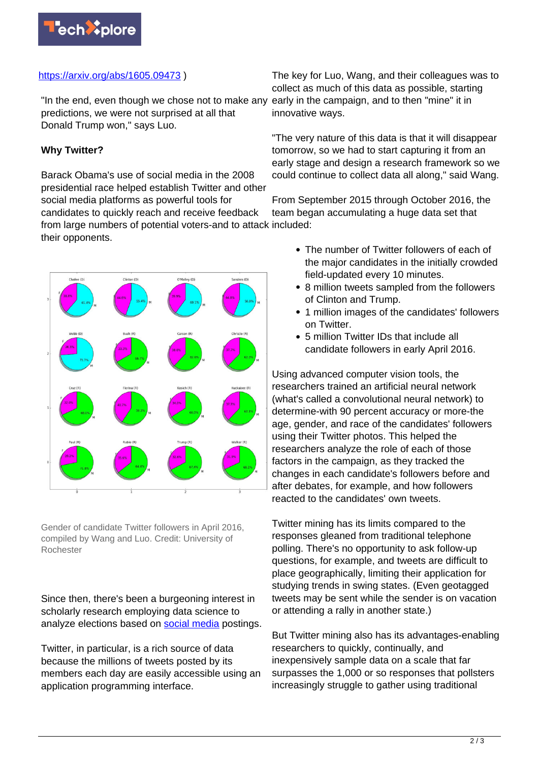

## <https://arxiv.org/abs/1605.09473>)

"In the end, even though we chose not to make any early in the campaign, and to then "mine" it in predictions, we were not surprised at all that Donald Trump won," says Luo.

## **Why Twitter?**

Barack Obama's use of social media in the 2008 presidential race helped establish Twitter and other social media platforms as powerful tools for candidates to quickly reach and receive feedback from large numbers of potential voters-and to attack included: their opponents.



Gender of candidate Twitter followers in April 2016, compiled by Wang and Luo. Credit: University of Rochester

Since then, there's been a burgeoning interest in scholarly research employing data science to analyze elections based on [social media](https://techxplore.com/tags/social+media/) postings.

Twitter, in particular, is a rich source of data because the millions of tweets posted by its members each day are easily accessible using an application programming interface.

The key for Luo, Wang, and their colleagues was to collect as much of this data as possible, starting innovative ways.

"The very nature of this data is that it will disappear tomorrow, so we had to start capturing it from an early stage and design a research framework so we could continue to collect data all along," said Wang.

From September 2015 through October 2016, the team began accumulating a huge data set that

- The number of Twitter followers of each of the major candidates in the initially crowded field-updated every 10 minutes.
- 8 million tweets sampled from the followers of Clinton and Trump.
- 1 million images of the candidates' followers on Twitter.
- 5 million Twitter IDs that include all candidate followers in early April 2016.

Using advanced computer vision tools, the researchers trained an artificial neural network (what's called a convolutional neural network) to determine-with 90 percent accuracy or more-the age, gender, and race of the candidates' followers using their Twitter photos. This helped the researchers analyze the role of each of those factors in the campaign, as they tracked the changes in each candidate's followers before and after debates, for example, and how followers reacted to the candidates' own tweets.

Twitter mining has its limits compared to the responses gleaned from traditional telephone polling. There's no opportunity to ask follow-up questions, for example, and tweets are difficult to place geographically, limiting their application for studying trends in swing states. (Even geotagged tweets may be sent while the sender is on vacation or attending a rally in another state.)

But Twitter mining also has its advantages-enabling researchers to quickly, continually, and inexpensively sample data on a scale that far surpasses the 1,000 or so responses that pollsters increasingly struggle to gather using traditional